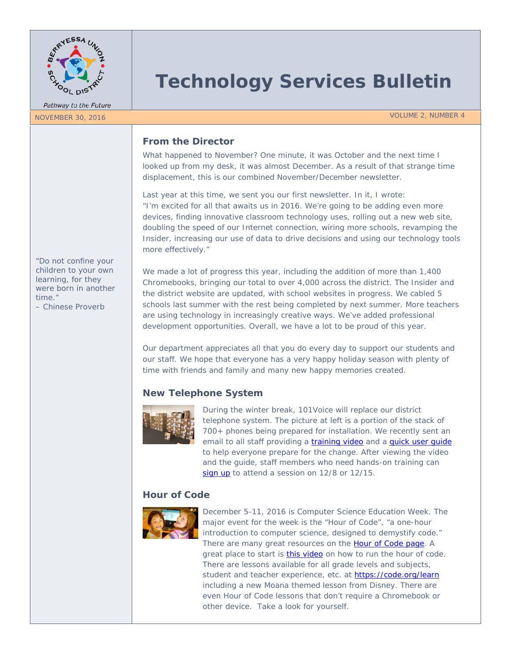

Pathway to the Future

# **Technology Services Bulletin**

NOVEMBER 30, 2016 VOLUME 2, NUMBER 4

# **From the Director**

What happened to November? One minute, it was October and the next time I looked up from my desk, it was almost December. As a result of that strange time displacement, this is our combined November/December newsletter.

Last year at this time, we sent you our first newsletter. In it, I wrote: *"I'm excited for all that awaits us in 2016. We're going to be adding even more devices, finding innovative classroom technology uses, rolling out a new web site, doubling the speed of our Internet connection, wiring more schools, revamping the Insider, increasing our use of data to drive decisions and using our technology tools more effectively."*

*"Do not confine your children to your own learning, for they were born in another time."* 

*– Chinese Proverb*

We made a lot of progress this year, including the addition of more than 1,400 Chromebooks, bringing our total to over 4,000 across the district. The Insider and the district website are updated, with school websites in progress. We cabled 5 schools last summer with the rest being completed by next summer. More teachers are using technology in increasingly creative ways. We've added professional development opportunities. Overall, we have a lot to be proud of this year.

Our department appreciates all that you do every day to support our students and our staff. We hope that everyone has a very happy holiday season with plenty of time with friends and family and many new happy memories created.

# **New Telephone System**



During the winter break, 101Voice will replace our district telephone system. The picture at left is a portion of the stack of 700+ phones being prepared for installation. We recently sent an email to all staff providing a *training video* and a *quick user quide* to help everyone prepare for the change. After viewing the video and the guide, staff members who need hands-on training can [sign up](https://goo.gl/forms/R79DvYY5yBa4rxKz1) to attend a session on 12/8 or 12/15.

# **Hour of Code**



December 5-11, 2016 is Computer Science Education Week. The major event for the week is the "Hour of Code", "a one-hour introduction to computer science, designed to demystify code." There are many great resources on the [Hour of Code page.](https://hourofcode.com/us) A great place to start is *this video* on how to run the hour of code. There are lessons available for all grade levels and subjects, student and teacher experience, etc. at<https://code.org/learn> including a new Moana themed lesson from Disney. There are even Hour of Code lessons that don't require a Chromebook or other device. Take a look for yourself.